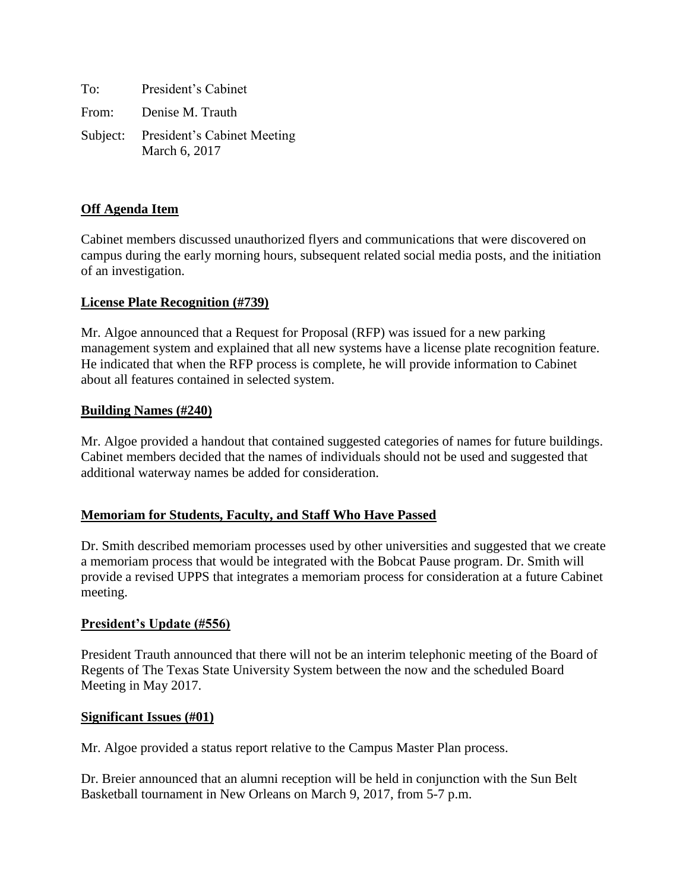To: President's Cabinet From: Denise M. Trauth Subject: President's Cabinet Meeting March 6, 2017

### **Off Agenda Item**

Cabinet members discussed unauthorized flyers and communications that were discovered on campus during the early morning hours, subsequent related social media posts, and the initiation of an investigation.

### **License Plate Recognition (#739)**

Mr. Algoe announced that a Request for Proposal (RFP) was issued for a new parking management system and explained that all new systems have a license plate recognition feature. He indicated that when the RFP process is complete, he will provide information to Cabinet about all features contained in selected system.

### **Building Names (#240)**

Mr. Algoe provided a handout that contained suggested categories of names for future buildings. Cabinet members decided that the names of individuals should not be used and suggested that additional waterway names be added for consideration.

### **Memoriam for Students, Faculty, and Staff Who Have Passed**

Dr. Smith described memoriam processes used by other universities and suggested that we create a memoriam process that would be integrated with the Bobcat Pause program. Dr. Smith will provide a revised UPPS that integrates a memoriam process for consideration at a future Cabinet meeting.

#### **President's Update (#556)**

President Trauth announced that there will not be an interim telephonic meeting of the Board of Regents of The Texas State University System between the now and the scheduled Board Meeting in May 2017.

#### **Significant Issues (#01)**

Mr. Algoe provided a status report relative to the Campus Master Plan process.

Dr. Breier announced that an alumni reception will be held in conjunction with the Sun Belt Basketball tournament in New Orleans on March 9, 2017, from 5-7 p.m.